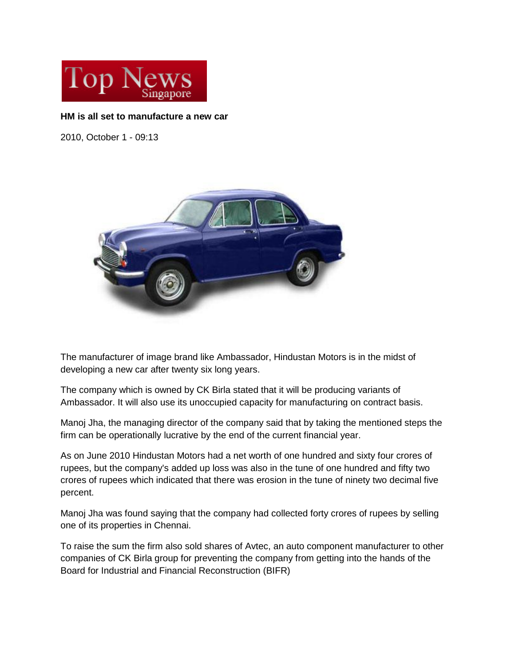

## **HM is all set to manufacture a new car**

2010, October 1 - 09:13



The manufacturer of image brand like Ambassador, Hindustan Motors is in the midst of developing a new car after twenty six long years.

The company which is owned by CK Birla stated that it will be producing variants of Ambassador. It will also use its unoccupied capacity for manufacturing on contract basis.

Manoj Jha, the managing director of the company said that by taking the mentioned steps the firm can be operationally lucrative by the end of the current financial year.

As on June 2010 Hindustan Motors had a net worth of one hundred and sixty four crores of rupees, but the company's added up loss was also in the tune of one hundred and fifty two crores of rupees which indicated that there was erosion in the tune of ninety two decimal five percent.

Manoj Jha was found saying that the company had collected forty crores of rupees by selling one of its properties in Chennai.

To raise the sum the firm also sold shares of Avtec, an auto component manufacturer to other companies of CK Birla group for preventing the company from getting into the hands of the Board for Industrial and Financial Reconstruction (BIFR)